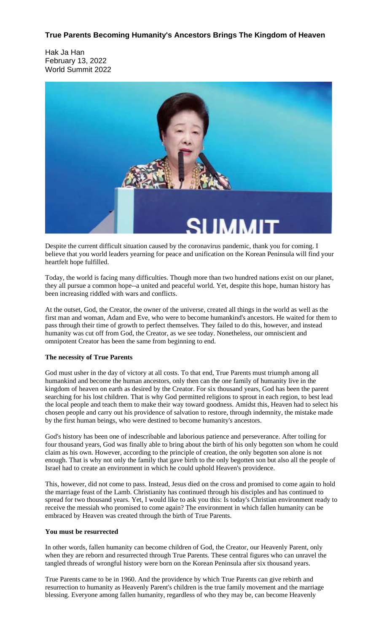## **True Parents Becoming Humanity's Ancestors Brings The Kingdom of Heaven**

Hak Ja Han February 13, 2022 World Summit 2022



Despite the current difficult situation caused by the coronavirus pandemic, thank you for coming. I believe that you world leaders yearning for peace and unification on the Korean Peninsula will find your heartfelt hope fulfilled.

Today, the world is facing many difficulties. Though more than two hundred nations exist on our planet, they all pursue a common hope--a united and peaceful world. Yet, despite this hope, human history has been increasing riddled with wars and conflicts.

At the outset, God, the Creator, the owner of the universe, created all things in the world as well as the first man and woman, Adam and Eve, who were to become humankind's ancestors. He waited for them to pass through their time of growth to perfect themselves. They failed to do this, however, and instead humanity was cut off from God, the Creator, as we see today. Nonetheless, our omniscient and omnipotent Creator has been the same from beginning to end.

## **The necessity of True Parents**

God must usher in the day of victory at all costs. To that end, True Parents must triumph among all humankind and become the human ancestors, only then can the one family of humanity live in the kingdom of heaven on earth as desired by the Creator. For six thousand years, God has been the parent searching for his lost children. That is why God permitted religions to sprout in each region, to best lead the local people and teach them to make their way toward goodness. Amidst this, Heaven had to select his chosen people and carry out his providence of salvation to restore, through indemnity, the mistake made by the first human beings, who were destined to become humanity's ancestors.

God's history has been one of indescribable and laborious patience and perseverance. After toiling for four thousand years, God was finally able to bring about the birth of his only begotten son whom he could claim as his own. However, according to the principle of creation, the only begotten son alone is not enough. That is why not only the family that gave birth to the only begotten son but also all the people of Israel had to create an environment in which he could uphold Heaven's providence.

This, however, did not come to pass. Instead, Jesus died on the cross and promised to come again to hold the marriage feast of the Lamb. Christianity has continued through his disciples and has continued to spread for two thousand years. Yet, I would like to ask you this: Is today's Christian environment ready to receive the messiah who promised to come again? The environment in which fallen humanity can be embraced by Heaven was created through the birth of True Parents.

## **You must be resurrected**

In other words, fallen humanity can become children of God, the Creator, our Heavenly Parent, only when they are reborn and resurrected through True Parents. These central figures who can unravel the tangled threads of wrongful history were born on the Korean Peninsula after six thousand years.

True Parents came to be in 1960. And the providence by which True Parents can give rebirth and resurrection to humanity as Heavenly Parent's children is the true family movement and the marriage blessing. Everyone among fallen humanity, regardless of who they may be, can become Heavenly